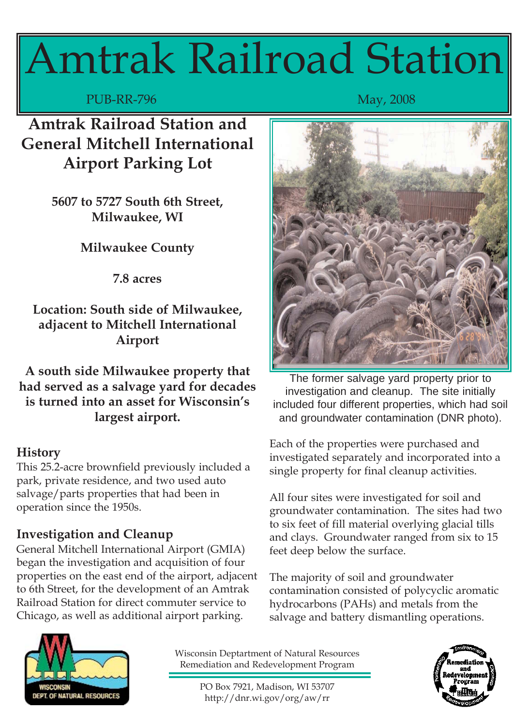# Amtrak Railroad Station

PUB-RR-796 May, 2008

**Amtrak Railroad Station and General Mitchell International Airport Parking Lot**

> **5607 to 5727 South 6th Street, Milwaukee, WI**

> > **Milwaukee County**

**7.8 acres**

**Location: South side of Milwaukee, adjacent to Mitchell International Airport**

**A south side Milwaukee property that had served as a salvage yard for decades is turned into an asset for Wisconsin's largest airport.**

## **History**

This 25.2-acre brownfield previously included a park, private residence, and two used auto salvage/parts properties that had been in operation since the 1950s.

# **Investigation and Cleanup**

General Mitchell International Airport (GMIA) began the investigation and acquisition of four properties on the east end of the airport, adjacent to 6th Street, for the development of an Amtrak Railroad Station for direct commuter service to Chicago, as well as additional airport parking.



The former salvage yard property prior to investigation and cleanup. The site initially included four different properties, which had soil and groundwater contamination (DNR photo).

Each of the properties were purchased and investigated separately and incorporated into a single property for final cleanup activities.

All four sites were investigated for soil and groundwater contamination. The sites had two to six feet of fill material overlying glacial tills and clays. Groundwater ranged from six to 15 feet deep below the surface.

The majority of soil and groundwater contamination consisted of polycyclic aromatic hydrocarbons (PAHs) and metals from the salvage and battery dismantling operations.



Wisconsin Deptartment of Natural Resources Remediation and Redevelopment Program

PO Box 7921, Madison, WI 53707 http://dnr.wi.gov/org/aw/rr